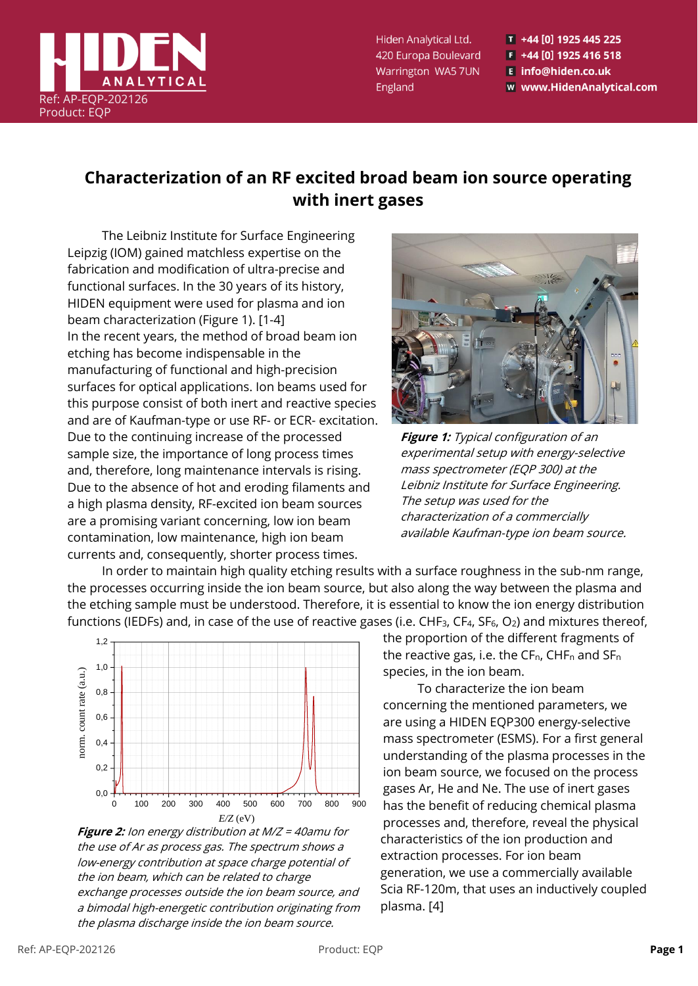

Hiden Analytical Ltd. 420 Europa Boulevard Warrington WA5 7UN England

T +44 [0] 1925 445 225  $F$  +44 [0] 1925 416 518 E info@hiden.co.uk w www.HidenAnalytical.com

# **Characterization of an RF excited broad beam ion source operating with inert gases**

The Leibniz Institute for Surface Engineering Leipzig (IOM) gained matchless expertise on the fabrication and modification of ultra-precise and functional surfaces. In the 30 years of its history, HIDEN equipment were used for plasma and ion beam characterization (Figure 1). [1-4] In the recent years, the method of broad beam ion etching has become indispensable in the manufacturing of functional and high-precision surfaces for optical applications. Ion beams used for this purpose consist of both inert and reactive species and are of Kaufman-type or use RF- or ECR- excitation. Due to the continuing increase of the processed sample size, the importance of long process times and, therefore, long maintenance intervals is rising. Due to the absence of hot and eroding filaments and a high plasma density, RF-excited ion beam sources are a promising variant concerning, low ion beam contamination, low maintenance, high ion beam currents and, consequently, shorter process times.



**Figure 1:** Typical configuration of an experimental setup with energy-selective mass spectrometer (EQP 300) at the Leibniz Institute for Surface Engineering. The setup was used for the characterization of a commercially available Kaufman-type ion beam source.

In order to maintain high quality etching results with a surface roughness in the sub-nm range, the processes occurring inside the ion beam source, but also along the way between the plasma and the etching sample must be understood. Therefore, it is essential to know the ion energy distribution functions (IEDFs) and, in case of the use of reactive gases (i.e.  $CHF_3$ ,  $CF_4$ ,  $SF_6$ ,  $O_2$ ) and mixtures thereof,



**Figure 2:** Ion energy distribution at M/Z = 40amu for the use of Ar as process gas. The spectrum shows a low-energy contribution at space charge potential of the ion beam, which can be related to charge exchange processes outside the ion beam source, and a bimodal high-energetic contribution originating from the plasma discharge inside the ion beam source.

the proportion of the different fragments of the reactive gas, i.e. the  $CF_n$ , CHF<sub>n</sub> and  $SF_n$ species, in the ion beam.

To characterize the ion beam concerning the mentioned parameters, we are using a HIDEN EQP300 energy-selective mass spectrometer (ESMS). For a first general understanding of the plasma processes in the ion beam source, we focused on the process gases Ar, He and Ne. The use of inert gases has the benefit of reducing chemical plasma processes and, therefore, reveal the physical characteristics of the ion production and extraction processes. For ion beam generation, we use a commercially available Scia RF-120m, that uses an inductively coupled plasma. [4]